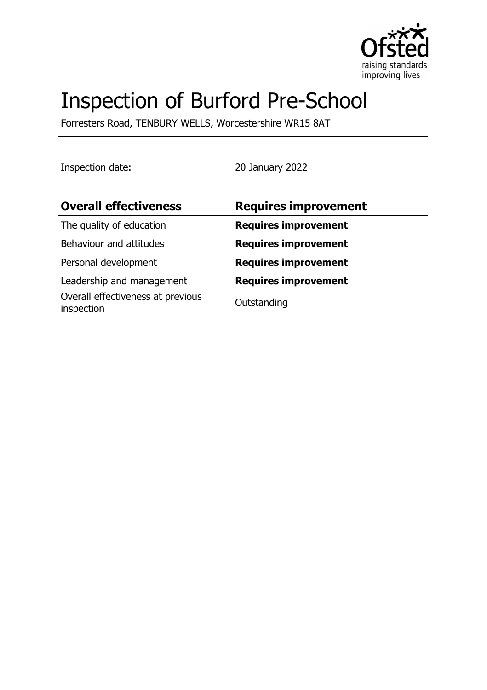

# Inspection of Burford Pre-School

Forresters Road, TENBURY WELLS, Worcestershire WR15 8AT

Inspection date: 20 January 2022

| <b>Overall effectiveness</b>                    | <b>Requires improvement</b> |
|-------------------------------------------------|-----------------------------|
| The quality of education                        | <b>Requires improvement</b> |
| Behaviour and attitudes                         | <b>Requires improvement</b> |
| Personal development                            | <b>Requires improvement</b> |
| Leadership and management                       | <b>Requires improvement</b> |
| Overall effectiveness at previous<br>inspection | Outstanding                 |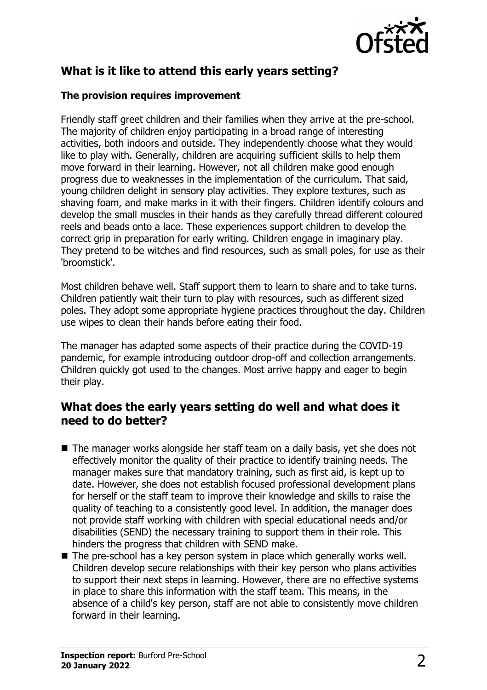

# **What is it like to attend this early years setting?**

#### **The provision requires improvement**

Friendly staff greet children and their families when they arrive at the pre-school. The majority of children enjoy participating in a broad range of interesting activities, both indoors and outside. They independently choose what they would like to play with. Generally, children are acquiring sufficient skills to help them move forward in their learning. However, not all children make good enough progress due to weaknesses in the implementation of the curriculum. That said, young children delight in sensory play activities. They explore textures, such as shaving foam, and make marks in it with their fingers. Children identify colours and develop the small muscles in their hands as they carefully thread different coloured reels and beads onto a lace. These experiences support children to develop the correct grip in preparation for early writing. Children engage in imaginary play. They pretend to be witches and find resources, such as small poles, for use as their 'broomstick'.

Most children behave well. Staff support them to learn to share and to take turns. Children patiently wait their turn to play with resources, such as different sized poles. They adopt some appropriate hygiene practices throughout the day. Children use wipes to clean their hands before eating their food.

The manager has adapted some aspects of their practice during the COVID-19 pandemic, for example introducing outdoor drop-off and collection arrangements. Children quickly got used to the changes. Most arrive happy and eager to begin their play.

## **What does the early years setting do well and what does it need to do better?**

- $\blacksquare$  The manager works alongside her staff team on a daily basis, yet she does not effectively monitor the quality of their practice to identify training needs. The manager makes sure that mandatory training, such as first aid, is kept up to date. However, she does not establish focused professional development plans for herself or the staff team to improve their knowledge and skills to raise the quality of teaching to a consistently good level. In addition, the manager does not provide staff working with children with special educational needs and/or disabilities (SEND) the necessary training to support them in their role. This hinders the progress that children with SEND make.
- $\blacksquare$  The pre-school has a key person system in place which generally works well. Children develop secure relationships with their key person who plans activities to support their next steps in learning. However, there are no effective systems in place to share this information with the staff team. This means, in the absence of a child's key person, staff are not able to consistently move children forward in their learning.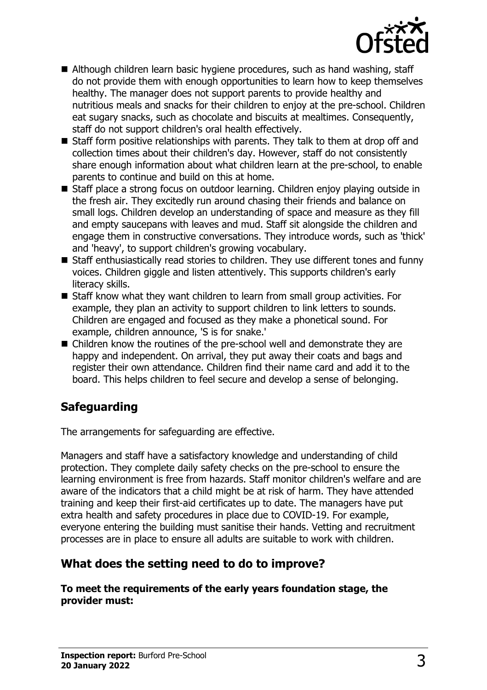

- Although children learn basic hygiene procedures, such as hand washing, staff do not provide them with enough opportunities to learn how to keep themselves healthy. The manager does not support parents to provide healthy and nutritious meals and snacks for their children to enjoy at the pre-school. Children eat sugary snacks, such as chocolate and biscuits at mealtimes. Consequently, staff do not support children's oral health effectively.
- $\blacksquare$  Staff form positive relationships with parents. They talk to them at drop off and collection times about their children's day. However, staff do not consistently share enough information about what children learn at the pre-school, to enable parents to continue and build on this at home.
- Staff place a strong focus on outdoor learning. Children enjoy playing outside in the fresh air. They excitedly run around chasing their friends and balance on small logs. Children develop an understanding of space and measure as they fill and empty saucepans with leaves and mud. Staff sit alongside the children and engage them in constructive conversations. They introduce words, such as 'thick' and 'heavy', to support children's growing vocabulary.
- Staff enthusiastically read stories to children. They use different tones and funny voices. Children giggle and listen attentively. This supports children's early literacy skills.
- $\blacksquare$  Staff know what they want children to learn from small group activities. For example, they plan an activity to support children to link letters to sounds. Children are engaged and focused as they make a phonetical sound. For example, children announce, 'S is for snake.'
- $\blacksquare$  Children know the routines of the pre-school well and demonstrate they are happy and independent. On arrival, they put away their coats and bags and register their own attendance. Children find their name card and add it to the board. This helps children to feel secure and develop a sense of belonging.

# **Safeguarding**

The arrangements for safeguarding are effective.

Managers and staff have a satisfactory knowledge and understanding of child protection. They complete daily safety checks on the pre-school to ensure the learning environment is free from hazards. Staff monitor children's welfare and are aware of the indicators that a child might be at risk of harm. They have attended training and keep their first-aid certificates up to date. The managers have put extra health and safety procedures in place due to COVID-19. For example, everyone entering the building must sanitise their hands. Vetting and recruitment processes are in place to ensure all adults are suitable to work with children.

## **What does the setting need to do to improve?**

**To meet the requirements of the early years foundation stage, the provider must:**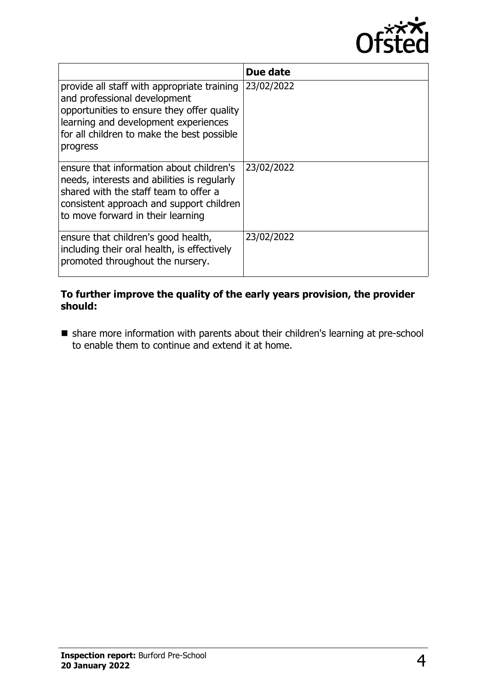

|                                                                                                                                                                                                                             | Due date   |
|-----------------------------------------------------------------------------------------------------------------------------------------------------------------------------------------------------------------------------|------------|
| provide all staff with appropriate training<br>and professional development<br>opportunities to ensure they offer quality<br>learning and development experiences<br>for all children to make the best possible<br>progress | 23/02/2022 |
| ensure that information about children's<br>needs, interests and abilities is regularly<br>shared with the staff team to offer a<br>consistent approach and support children<br>to move forward in their learning           | 23/02/2022 |
| ensure that children's good health,<br>including their oral health, is effectively<br>promoted throughout the nursery.                                                                                                      | 23/02/2022 |

#### **To further improve the quality of the early years provision, the provider should:**

n share more information with parents about their children's learning at pre-school to enable them to continue and extend it at home.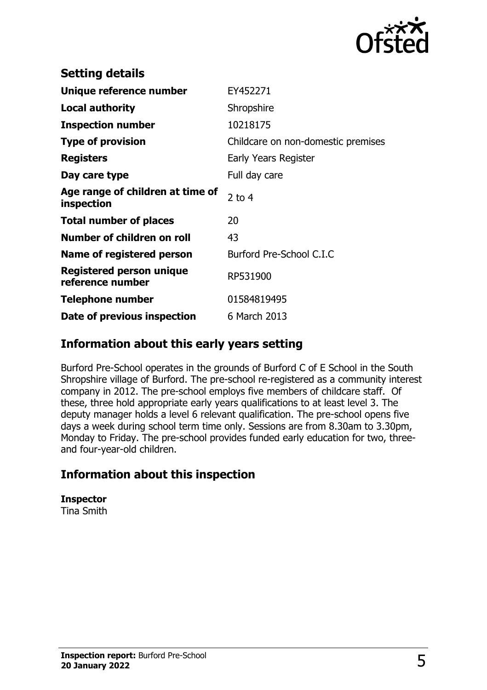

| <b>Setting details</b>                         |                                    |
|------------------------------------------------|------------------------------------|
| Unique reference number                        | EY452271                           |
| <b>Local authority</b>                         | Shropshire                         |
| <b>Inspection number</b>                       | 10218175                           |
| <b>Type of provision</b>                       | Childcare on non-domestic premises |
| <b>Registers</b>                               | Early Years Register               |
| Day care type                                  | Full day care                      |
| Age range of children at time of<br>inspection | 2 to $4$                           |
| <b>Total number of places</b>                  | 20                                 |
| Number of children on roll                     | 43                                 |
| Name of registered person                      | Burford Pre-School C.I.C           |
| Registered person unique<br>reference number   | RP531900                           |
| <b>Telephone number</b>                        | 01584819495                        |
| Date of previous inspection                    | 6 March 2013                       |

### **Information about this early years setting**

Burford Pre-School operates in the grounds of Burford C of E School in the South Shropshire village of Burford. The pre-school re-registered as a community interest company in 2012. The pre-school employs five members of childcare staff. Of these, three hold appropriate early years qualifications to at least level 3. The deputy manager holds a level 6 relevant qualification. The pre-school opens five days a week during school term time only. Sessions are from 8.30am to 3.30pm, Monday to Friday. The pre-school provides funded early education for two, threeand four-year-old children.

## **Information about this inspection**

#### **Inspector**

Tina Smith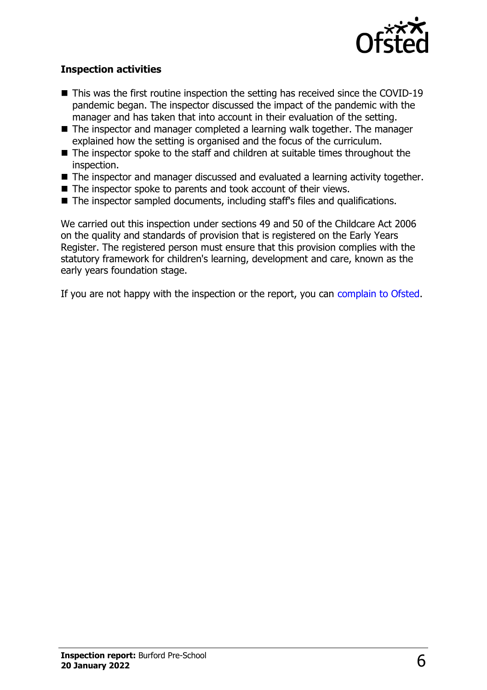

#### **Inspection activities**

- $\blacksquare$  This was the first routine inspection the setting has received since the COVID-19 pandemic began. The inspector discussed the impact of the pandemic with the manager and has taken that into account in their evaluation of the setting.
- The inspector and manager completed a learning walk together. The manager explained how the setting is organised and the focus of the curriculum.
- $\blacksquare$  The inspector spoke to the staff and children at suitable times throughout the inspection.
- The inspector and manager discussed and evaluated a learning activity together.
- $\blacksquare$  The inspector spoke to parents and took account of their views.
- The inspector sampled documents, including staff's files and qualifications.

We carried out this inspection under sections 49 and 50 of the Childcare Act 2006 on the quality and standards of provision that is registered on the Early Years Register. The registered person must ensure that this provision complies with the statutory framework for children's learning, development and care, known as the early years foundation stage.

If you are not happy with the inspection or the report, you can [complain to Ofsted](http://www.gov.uk/complain-ofsted-report).